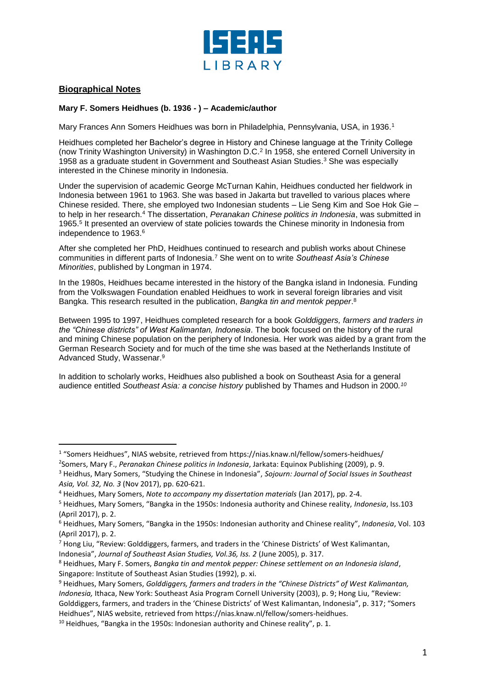

## **Biographical Notes**

l

## **Mary F. Somers Heidhues (b. 1936 - ) – Academic/author**

Mary Frances Ann Somers Heidhues was born in Philadelphia, Pennsylvania, USA, in 1936.<sup>1</sup>

Heidhues completed her Bachelor's degree in History and Chinese language at the Trinity College (now Trinity Washington University) in Washington D.C.<sup>2</sup> In 1958, she entered Cornell University in 1958 as a graduate student in Government and Southeast Asian Studies. <sup>3</sup> She was especially interested in the Chinese minority in Indonesia.

Under the supervision of academic George McTurnan Kahin, Heidhues conducted her fieldwork in Indonesia between 1961 to 1963. She was based in Jakarta but travelled to various places where Chinese resided. There, she employed two Indonesian students – Lie Seng Kim and Soe Hok Gie – to help in her research.<sup>4</sup> The dissertation, *Peranakan Chinese politics in Indonesia*, was submitted in 1965. 5 It presented an overview of state policies towards the Chinese minority in Indonesia from independence to 1963.<sup>6</sup>

After she completed her PhD, Heidhues continued to research and publish works about Chinese communities in different parts of Indonesia.<sup>7</sup> She went on to write *Southeast Asia's Chinese Minorities*, published by Longman in 1974.

In the 1980s, Heidhues became interested in the history of the Bangka island in Indonesia. Funding from the Volkswagen Foundation enabled Heidhues to work in several foreign libraries and visit Bangka. This research resulted in the publication, *Bangka tin and mentok pepper*. 8

Between 1995 to 1997, Heidhues completed research for a book *Golddiggers, farmers and traders in the "Chinese districts" of West Kalimantan, Indonesia*. The book focused on the history of the rural and mining Chinese population on the periphery of Indonesia. Her work was aided by a grant from the German Research Society and for much of the time she was based at the Netherlands Institute of Advanced Study, Wassenar.<sup>9</sup>

In addition to scholarly works, Heidhues also published a book on Southeast Asia for a general audience entitled *Southeast Asia: a concise history* published by Thames and Hudson in 2000*. 10*

<sup>1</sup> "Somers Heidhues", NIAS website, retrieved from https://nias.knaw.nl/fellow/somers-heidhues/

<sup>2</sup> Somers, Mary F., *Peranakan Chinese politics in Indonesia*, Jarkata: Equinox Publishing (2009), p. 9.

<sup>3</sup> Heidhus, Mary Somers, "Studying the Chinese in Indonesia", *Sojourn: Journal of Social Issues in Southeast Asia, Vol. 32, No. 3* (Nov 2017), pp. 620-621.

<sup>4</sup> Heidhues, Mary Somers, *Note to accompany my dissertation materials* (Jan 2017), pp. 2-4.

<sup>5</sup> Heidhues, Mary Somers, "Bangka in the 1950s: Indonesia authority and Chinese reality, *Indonesia*, Iss.103 (April 2017), p. 2.

<sup>6</sup> Heidhues, Mary Somers, "Bangka in the 1950s: Indonesian authority and Chinese reality", *Indonesia*, Vol. 103 (April 2017), p. 2.

 $<sup>7</sup>$  Hong Liu, "Review: Golddiggers, farmers, and traders in the 'Chinese Districts' of West Kalimantan,</sup> Indonesia", *Journal of Southeast Asian Studies, Vol.36, Iss. 2* (June 2005), p. 317.

<sup>8</sup> Heidhues, Mary F. Somers, *Bangka tin and mentok pepper: Chinese settlement on an Indonesia island*, Singapore: Institute of Southeast Asian Studies (1992), p. xi.

<sup>9</sup> Heidhues, Mary Somers, *Golddiggers, farmers and traders in the "Chinese Districts" of West Kalimantan, Indonesia,* Ithaca, New York: Southeast Asia Program Cornell University (2003), p. 9; Hong Liu, "Review: Golddiggers, farmers, and traders in the 'Chinese Districts' of West Kalimantan, Indonesia", p. 317; "Somers Heidhues", NIAS website, retrieved from https://nias.knaw.nl/fellow/somers-heidhues.

 $10$  Heidhues, "Bangka in the 1950s: Indonesian authority and Chinese reality", p. 1.